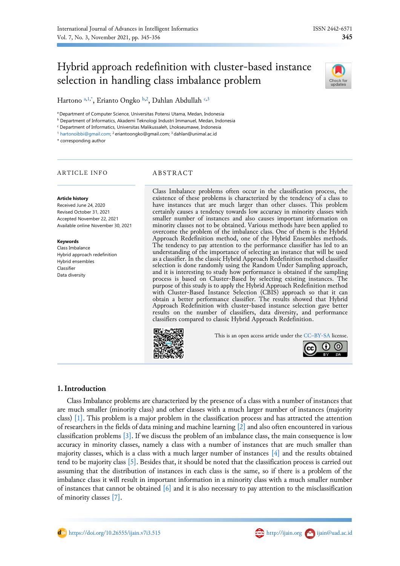# Hybrid approach redefinition with cluster-based instance selection in handling class imbalance problem



Hartono <sup>[a,](#page-0-0)[1](#page-0-1)[,\\*](#page-0-2)</sup>, Erianto Ongko <sup>[b](#page-0-3)[,2](#page-0-4)</sup>, Dahlan Abdullah <sup>[c](#page-0-5)[,3](#page-0-6)</sup>

<span id="page-0-0"></span><sup>a</sup> Department of Computer Science, Universitas Potensi Utama, Medan, Indonesia

<span id="page-0-3"></span><sup>b</sup> Department of Informatics, Akademi Teknologi Industri Immanuel, Medan, Indonesia

<span id="page-0-5"></span><sup>c</sup> Department of Informatics, Universitas Malikussaleh, Lhokseumawe, Indonesia

<span id="page-0-4"></span><span id="page-0-1"></span><sup>1</sup> [hartonoibbi@gmail.com;](mailto:hartonoibbi@gmail.com) <sup>2</sup>eriantoongko@gmail.com; <sup>3</sup>dahlan@unimal.ac.id

<span id="page-0-2"></span>\* corresponding author

#### ARTICLE INFO ABSTRACT

Hybrid approach redefinition Hybrid ensembles Classifier Data diversity

**Article history** Received June 24, 2020 Revised October 31, 2021 Accepted November 22, 2021 Available online November 30, 2021

**Keywords** Class Imbalance

<span id="page-0-6"></span>Class Imbalance problems often occur in the classification process, the existence of these problems is characterized by the tendency of a class to have instances that are much larger than other classes. This problem certainly causes a tendency towards low accuracy in minority classes with smaller number of instances and also causes important information on minority classes not to be obtained. Various methods have been applied to overcome the problem of the imbalance class. One of them is the Hybrid Approach Redefinition method, one of the Hybrid Ensembles methods. The tendency to pay attention to the performance classifier has led to an understanding of the importance of selecting an instance that will be used as a classifier. In the classic Hybrid Approach Redefinition method classifier selection is done randomly using the Random Under Sampling approach, and it is interesting to study how performance is obtained if the sampling process is based on Cluster-Based by selecting existing instances. The purpose of this study is to apply the Hybrid Approach Redefinition method with Cluster-Based Instance Selection (CBIS) approach so that it can obtain a better performance classifier. The results showed that Hybrid Approach Redefinition with cluster-based instance selection gave better results on the number of classifiers, data diversity, and performance classifiers compared to classic Hybrid Approach Redefinition.



This is an open access article under the CC–[BY-SA](http://creativecommons.org/licenses/by-sa/4.0/) license.



# **1.Introduction**

Class Imbalance problems are characterized by the presence of a class with a number of instances that are much smaller (minority class) and other classes with a much larger number of instances (majority class) [\[1\].](#page-10-0) This problem is a major problem in the classification process and has attracted the attention of researchers in the fields of data mining and machine learning [\[2\]](#page-10-1) and also often encountered in various classification problems [\[3\].](#page-10-2) If we discuss the problem of an imbalance class, the main consequence is low accuracy in minority classes, namely a class with a number of instances that are much smaller than majority classes, which is a class with a much larger number of instances  $[4]$  and the results obtained tend to be majority class [\[5\].](#page-10-4) Besides that, it should be noted that the classification process is carried out assuming that the distribution of instances in each class is the same, so if there is a problem of the imbalance class it will result in important information in a minority class with a much smaller number of instances that cannot be obtained [\[6\]](#page-10-5) and it is also necessary to pay attention to the misclassification of minority classes [\[7\].](#page-10-6)

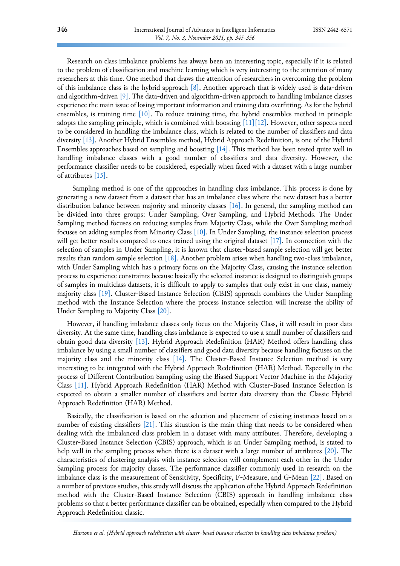Research on class imbalance problems has always been an interesting topic, especially if it is related to the problem of classification and machine learning which is very interesting to the attention of many researchers at this time. One method that draws the attention of researchers in overcoming the problem of this imbalance class is the hybrid approach [\[8\].](#page-10-7) Another approach that is widely used is data-driven and algorithm-driven [\[9\].](#page-10-8) The data-driven and algorithm-driven approach to handling imbalance classes experience the main issue of losing important information and training data overfitting. As for the hybrid ensembles, is training time [\[10\].](#page-10-9) To reduce training time, the hybrid ensembles method in principle adopts the sampling principle, which is combined with boosting  $[11][12]$  $[11][12]$ . However, other aspects need to be considered in handling the imbalance class, which is related to the number of classifiers and data diversity [\[13\].](#page-10-12) Another Hybrid Ensembles method, Hybrid Approach Redefinition, is one of the Hybrid Ensembles approaches based on sampling and boosting [\[14\].](#page-10-13) This method has been tested quite well in handling imbalance classes with a good number of classifiers and data diversity. However, the performance classifier needs to be considered, especially when faced with a dataset with a large number of attributes [\[15\].](#page-11-0)

Sampling method is one of the approaches in handling class imbalance. This process is done by generating a new dataset from a dataset that has an imbalance class where the new dataset has a better distribution balance between majority and minority classes [\[16\].](#page-11-1) In general, the sampling method can be divided into three groups: Under Sampling, Over Sampling, and Hybrid Methods. The Under Sampling method focuses on reducing samples from Majority Class, while the Over Sampling method focuses on adding samples from Minority Class [\[10\].](#page-10-9) In Under Sampling, the instance selection process will get better results compared to ones trained using the original dataset [\[17\].](#page-11-2) In connection with the selection of samples in Under Sampling, it is known that cluster-based sample selection will get better results than random sample selection [\[18\].](#page-11-3) Another problem arises when handling two-class imbalance, with Under Sampling which has a primary focus on the Majority Class, causing the instance selection process to experience constraints because basically the selected instance is designed to distinguish groups of samples in multiclass datasets, it is difficult to apply to samples that only exist in one class, namely majority class [\[19\].](#page-11-4) Cluster-Based Instance Selection (CBIS) approach combines the Under Sampling method with the Instance Selection where the process instance selection will increase the ability of Under Sampling to Majority Class [\[20\].](#page-11-5)

However, if handling imbalance classes only focus on the Majority Class, it will result in poor data diversity. At the same time, handling class imbalance is expected to use a small number of classifiers and obtain good data diversity [\[13\].](#page-10-12) Hybrid Approach Redefinition (HAR) Method offers handling class imbalance by using a small number of classifiers and good data diversity because handling focuses on the majority class and the minority class [\[14\].](#page-10-13) The Cluster-Based Instance Selection method is very interesting to be integrated with the Hybrid Approach Redefinition (HAR) Method. Especially in the process of Different Contribution Sampling using the Biased Support Vector Machine in the Majority Class [\[11\].](#page-10-10) Hybrid Approach Redefinition (HAR) Method with Cluster-Based Instance Selection is expected to obtain a smaller number of classifiers and better data diversity than the Classic Hybrid Approach Redefinition (HAR) Method.

Basically, the classification is based on the selection and placement of existing instances based on a number of existing classifiers [\[21\].](#page-11-6) This situation is the main thing that needs to be considered when dealing with the imbalanced class problem in a dataset with many attributes. Therefore, developing a Cluster-Based Instance Selection (CBIS) approach, which is an Under Sampling method, is stated to help well in the sampling process when there is a dataset with a large number of attributes [\[20\].](#page-11-5) The characteristics of clustering analysis with instance selection will complement each other in the Under Sampling process for majority classes. The performance classifier commonly used in research on the imbalance class is the measurement of Sensitivity, Specificity, F-Measure, and G-Mean [\[22\].](#page-11-7) Based on a number of previous studies, this study will discuss the application of the Hybrid Approach Redefinition method with the Cluster-Based Instance Selection (CBIS) approach in handling imbalance class problems so that a better performance classifier can be obtained, especially when compared to the Hybrid Approach Redefinition classic.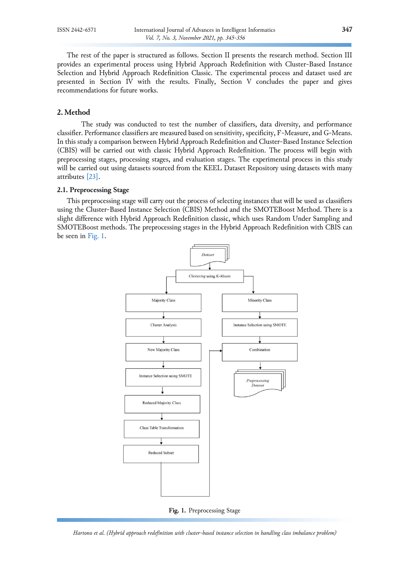The rest of the paper is structured as follows. Section II presents the research method. Section III provides an experimental process using Hybrid Approach Redefinition with Cluster-Based Instance Selection and Hybrid Approach Redefinition Classic. The experimental process and dataset used are presented in Section IV with the results. Finally, Section V concludes the paper and gives recommendations for future works.

# **2. Method**

The study was conducted to test the number of classifiers, data diversity, and performance classifier. Performance classifiers are measured based on sensitivity, specificity, F-Measure, and G-Means. In this study a comparison between Hybrid Approach Redefinition and Cluster-Based Instance Selection (CBIS) will be carried out with classic Hybrid Approach Redefinition. The process will begin with preprocessing stages, processing stages, and evaluation stages. The experimental process in this study will be carried out using datasets sourced from the KEEL Dataset Repository using datasets with many attributes [\[23\].](#page-11-8)

#### **2.1. Preprocessing Stage**

<span id="page-2-0"></span>This preprocessing stage will carry out the process of selecting instances that will be used as classifiers using the Cluster-Based Instance Selection (CBIS) Method and the SMOTEBoost Method. There is a slight difference with Hybrid Approach Redefinition classic, which uses Random Under Sampling and SMOTEBoost methods. The preprocessing stages in the Hybrid Approach Redefinition with CBIS can be seen in [Fig.](#page-2-0) 1.





*Hartono et al. (Hybrid approach redefinition with cluster-based instance selection in handling class imbalance problem)*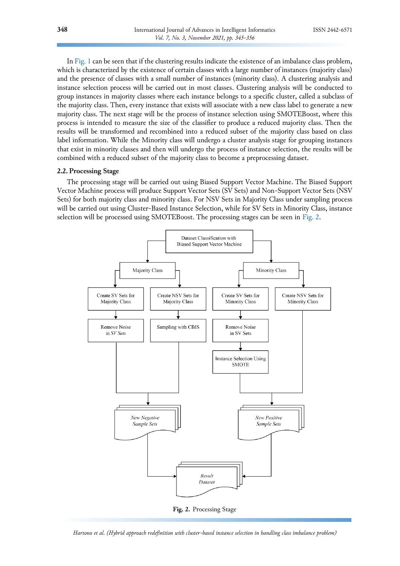In [Fig.](#page-2-0) 1 can be seen that if the clustering results indicate the existence of an imbalance class problem, which is characterized by the existence of certain classes with a large number of instances (majority class) and the presence of classes with a small number of instances (minority class). A clustering analysis and instance selection process will be carried out in most classes. Clustering analysis will be conducted to group instances in majority classes where each instance belongs to a specific cluster, called a subclass of the majority class. Then, every instance that exists will associate with a new class label to generate a new majority class. The next stage will be the process of instance selection using SMOTEBoost, where this process is intended to measure the size of the classifier to produce a reduced majority class. Then the results will be transformed and recombined into a reduced subset of the majority class based on class label information. While the Minority class will undergo a cluster analysis stage for grouping instances that exist in minority classes and then will undergo the process of instance selection, the results will be combined with a reduced subset of the majority class to become a preprocessing dataset.

#### **2.2. Processing Stage**

The processing stage will be carried out using Biased Support Vector Machine. The Biased Support Vector Machine process will produce Support Vector Sets (SV Sets) and Non-Support Vector Sets (NSV Sets) for both majority class and minority class. For NSV Sets in Majority Class under sampling process will be carried out using Cluster-Based Instance Selection, while for SV Sets in Minority Class, instance selection will be processed using SMOTEBoost. The processing stages can be seen in [Fig.](#page-3-0) 2.

<span id="page-3-0"></span>

*Hartono et al. (Hybrid approach redefinition with cluster-based instance selection in handling class imbalance problem)*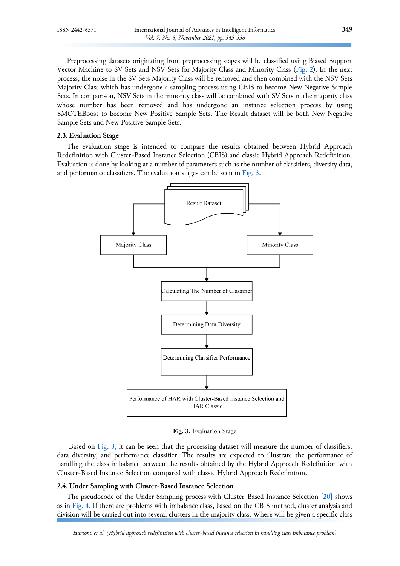Preprocessing datasets originating from preprocessing stages will be classified using Biased Support Vector Machine to SV Sets and NSV Sets for Majority Class and Minority Class [\(Fig.](#page-3-0) 2). In the next process, the noise in the SV Sets Majority Class will be removed and then combined with the NSV Sets Majority Class which has undergone a sampling process using CBIS to become New Negative Sample Sets. In comparison, NSV Sets in the minority class will be combined with SV Sets in the majority class whose number has been removed and has undergone an instance selection process by using SMOTEBoost to become New Positive Sample Sets. The Result dataset will be both New Negative Sample Sets and New Positive Sample Sets.

#### **2.3. Evaluation Stage**

<span id="page-4-0"></span>The evaluation stage is intended to compare the results obtained between Hybrid Approach Redefinition with Cluster-Based Instance Selection (CBIS) and classic Hybrid Approach Redefinition. Evaluation is done by looking at a number of parameters such as the number of classifiers, diversity data, and performance classifiers. The evaluation stages can be seen in [Fig. 3.](#page-4-0)



**Fig. 3.** Evaluation Stage

Based on [Fig.](#page-4-0) 3, it can be seen that the processing dataset will measure the number of classifiers, data diversity, and performance classifier. The results are expected to illustrate the performance of handling the class imbalance between the results obtained by the Hybrid Approach Redefinition with Cluster-Based Instance Selection compared with classic Hybrid Approach Redefinition.

#### **2.4. Under Sampling with Cluster-Based Instance Selection**

The pseudocode of the Under Sampling process with Cluster-Based Instance Selection [\[20\]](#page-11-5) shows as in [Fig. 4.](#page-5-0) If there are problems with imbalance class, based on the CBIS method, cluster analysis and division will be carried out into several clusters in the majority class. Where will be given a specific class

*Hartono et al. (Hybrid approach redefinition with cluster-based instance selection in handling class imbalance problem)*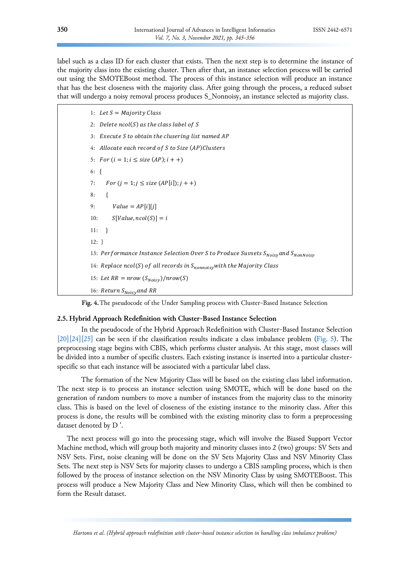label such as a class ID for each cluster that exists. Then the next step is to determine the instance of the majority class into the existing cluster. Then after that, an instance selection process will be carried out using the SMOTEBoost method. The process of this instance selection will produce an instance that has the best closeness with the majority class. After going through the process, a reduced subset that will undergo a noisy removal process produces S\_Nonnoisy, an instance selected as majority class.

<span id="page-5-0"></span>1: Let  $S = Majority Class$ 2: Delete  $ncol(S)$  as the class label of S 3: Execute S to obtain the clusering list named AP 4: Allocate each record of S to Size (AP)Clusters 5:  $For (i = 1; i \leq size (AP); i++)$ 6: { 7: For  $(j = 1; j \leq size (AP[i]); j + +)$ 8: { 9:  $Value = AP[i][j]$ 10:  $S[Value, ncol(S)] = i$ 11: } 12: } 13: Performance Instance Selection Over S to Produce Suvsets SNoisyand SNonNoisy 14: Replace ncol(S) of all records in  $S_{nonnoisy}$  with the Majority Class 15: Let  $RR = nrow(S_{Noisy})/nrow(S)$ 16: Return  $S_{Noisy}$ and RR

**Fig. 4.**The pseudocode of the Under Sampling process with Cluster-Based Instance Selection

#### **2.5. Hybrid Approach Redefinition with Cluster-Based Instance Selection**

In the pseudocode of the Hybrid Approach Redefinition with Cluster-Based Instance Selection  $[20][24][25]$  $[20][24][25]$  $[20][24][25]$  can be seen if the classification results indicate a class imbalance problem [\(Fig. 5\)](#page-6-0). The preprocessing stage begins with CBIS, which performs cluster analysis. At this stage, most classes will be divided into a number of specific clusters. Each existing instance is inserted into a particular clusterspecific so that each instance will be associated with a particular label class.

The formation of the New Majority Class will be based on the existing class label information. The next step is to process an instance selection using SMOTE, which will be done based on the generation of random numbers to move a number of instances from the majority class to the minority class. This is based on the level of closeness of the existing instance to the minority class. After this process is done, the results will be combined with the existing minority class to form a preprocessing dataset denoted by D '.

The next process will go into the processing stage, which will involve the Biased Support Vector Machine method, which will group both majority and minority classes into 2 (two) groups: SV Sets and NSV Sets. First, noise cleaning will be done on the SV Sets Majority Class and NSV Minority Class Sets. The next step is NSV Sets for majority classes to undergo a CBIS sampling process, which is then followed by the process of instance selection on the NSV Minority Class by using SMOTEBoost. This process will produce a New Majority Class and New Minority Class, which will then be combined to form the Result dataset.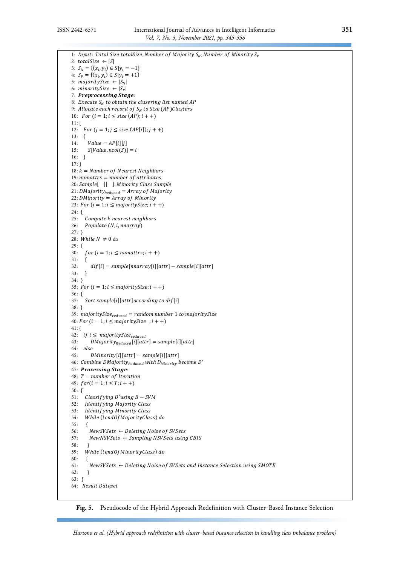<span id="page-6-0"></span>

| 1: Input: Total Size totalSize, Number of Majority $S_N$ , Number of Minority $S_P$       |  |
|-------------------------------------------------------------------------------------------|--|
| 2: totalSize $\leftarrow$ $ S $                                                           |  |
| 3: $S_N = \{(x_i, y_i) \in S   y_i = -1\}$                                                |  |
| 4: $S_p = \{(x_i, y_i) \in S   y_i = +1 \}$                                               |  |
| 5: majoritySize $\leftarrow  S_N $                                                        |  |
| 6: minoritySize $\leftarrow  S_{P} $                                                      |  |
| 7: Preprocessing Stage:                                                                   |  |
| 8: Execute $S_N$ to obtain the clusering list named AP                                    |  |
| 9: Allocate each record of $S_N$ to Size (AP)Clusters                                     |  |
| 10: For $(i = 1; i \leq size (AP); i + +)$                                                |  |
|                                                                                           |  |
| $11:$ {                                                                                   |  |
| <i>For</i> $(j = 1; j \leq size (AP[i]); j++)$<br>12:                                     |  |
| 13:<br>ł                                                                                  |  |
| 14:<br>$Value = AP[i][j]$                                                                 |  |
| $S[Value, ncol(S)] = i$<br>15:                                                            |  |
| 16:<br>-}                                                                                 |  |
| $17:$ }                                                                                   |  |
| 18: $k =$ Number of Nearest Neighbors                                                     |  |
| 19: numattrs $=$ number of attributes                                                     |  |
| 20: Sample[ ][ ]: Minority Class Sample                                                   |  |
| 21: DMajority $_{Reduced}$ = Array of Majority                                            |  |
| 22: DMinority = $Array of$ Minority                                                       |  |
| 23: For $(i = 1; i \leq majoritySize; i++)$                                               |  |
| 24: {                                                                                     |  |
| 25:<br>Compute k nearest neighbors                                                        |  |
| 26:<br>Populate (N, i, nnarray)                                                           |  |
| $27:$ }                                                                                   |  |
| 28: While $N \neq 0$ do                                                                   |  |
| $29: \{$                                                                                  |  |
| 30:<br>for $(i = 1; i \leq$ numattrs; $i + +$ )                                           |  |
| 31:<br>₹                                                                                  |  |
| $diff[i] = sample[nnarray[i][attr] - sample[i][attr]$<br>32:                              |  |
| 33:<br>}                                                                                  |  |
| $34: \}$                                                                                  |  |
| 35: For $(i = 1; i \le$ majority Size; $i + +$ )                                          |  |
| $36: \{$                                                                                  |  |
| Sort sample[i][attr]according to $diff[i]$<br>37:                                         |  |
| $38:$ }                                                                                   |  |
|                                                                                           |  |
| 39: majoritySize $_{reduced}$ = random number 1 to majoritySize                           |  |
| 40: For $(i = 1; i \leq \text{majoritySize } ; i++)$                                      |  |
| $41:$ {                                                                                   |  |
| 42:<br>if $i \le$ majoritySize <sub>reduced</sub>                                         |  |
| $DMajority_{Reduced}[i][attr] = sample[i][attr]$<br>43:                                   |  |
| 44:<br>else                                                                               |  |
| 45:<br>$DMinority[i][attr] = sample[i][attr]$                                             |  |
| 46: Combine DMajority <sub>Reduced</sub> with $D_{\text{Minority}}$ become D'             |  |
| 47: Processing Stage:                                                                     |  |
| 48: $T = number of Iteration$                                                             |  |
| 49: $for(i = 1; i \leq T; i++)$                                                           |  |
| $50: \{$                                                                                  |  |
| 51:<br>Classifying $D'$ using $B-SVM$                                                     |  |
| Identifying Majority Class<br>52:                                                         |  |
| Identifying Minority Class<br>53:                                                         |  |
| 54:<br>While (!endOfMajorityClass) do                                                     |  |
| 55:<br>$\{$                                                                               |  |
| NewSVSets $\leftarrow$ Deleting Noise of SVSets<br>56:                                    |  |
| $NewNSVSets \leftarrow Sampling NSVSets$ using CBIS<br>57:                                |  |
| 58:<br>$\mathbf{r}$                                                                       |  |
| 59:<br>While (!endOfMinorityClass) do                                                     |  |
| 60:<br>₹                                                                                  |  |
| NewSVSets $\leftarrow$ Deleting Noise of SVSets and Instance Selection using SMOTE<br>61: |  |
| 62:<br>ł                                                                                  |  |
| $63: \}$                                                                                  |  |
| 64: Result Dataset                                                                        |  |
|                                                                                           |  |
|                                                                                           |  |

**Fig. 5.** Pseudocode of the Hybrid Approach Redefinition with Cluster-Based Instance Selection

*Hartono et al. (Hybrid approach redefinition with cluster-based instance selection in handling class imbalance problem)*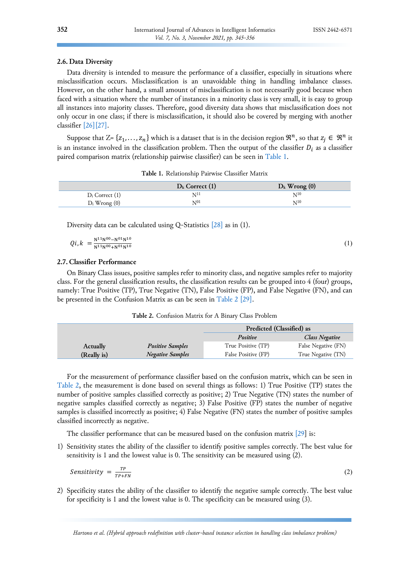### **2.6. Data Diversity**

Data diversity is intended to measure the performance of a classifier, especially in situations where misclassification occurs. Misclassification is an unavoidable thing in handling imbalance classes. However, on the other hand, a small amount of misclassification is not necessarily good because when faced with a situation where the number of instances in a minority class is very small, it is easy to group all instances into majority classes. Therefore, good diversity data shows that misclassification does not only occur in one class; if there is misclassification, it should also be covered by merging with another classifier [\[26\]](#page-11-11)[\[27\].](#page-11-12)

Suppose that Z= { $z_1, ..., z_n$ } which is a dataset that is in the decision region  $\mathfrak{R}^n$ , so that  $z_j \in \mathfrak{R}^n$  it is an instance involved in the classification problem. Then the output of the classifier  $D_i$  as a classifier paired comparison matrix (relationship pairwise classifier) can be seen i[n Table 1.](#page-7-0)

**Table 1.** Relationship Pairwise Classifier Matrix

<span id="page-7-0"></span>

|                     | $D_k$ Correct (1) | $D_k$ Wrong $(0)$ |
|---------------------|-------------------|-------------------|
| $D_i$ Correct $(1)$ | NП                | $\rm N^{10}$      |
| $D_i$ Wrong $(0)$   | $N^{01}$          | $N^{10}$          |

Diversity data can be calculated using Q-Statistics [\[28\]](#page-11-13) as in (1).

$$
Qi, k = \frac{N^{11}N^{00} - N^{01}N^{10}}{N^{11}N^{00} + N^{01}N^{10}}
$$
\n(1)

#### **2.7. Classifier Performance**

On Binary Class issues, positive samples refer to minority class, and negative samples refer to majority class. For the general classification results, the classification results can be grouped into 4 (four) groups, namely: True Positive (TP), True Negative (TN), False Positive (FP), and False Negative (FN), and can be presented in the Confusion Matrix as can be seen in [Table](#page-7-1) 2 [\[29\].](#page-11-14)

**Table 2.** Confusion Matrix for A Binary Class Problem

<span id="page-7-1"></span>

|                 |                         | Predicted (Classified) as |                       |  |
|-----------------|-------------------------|---------------------------|-----------------------|--|
|                 |                         | Positive                  | <b>Class Negative</b> |  |
| <b>Actually</b> | <b>Positive Samples</b> | True Positive (TP)        | False Negative (FN)   |  |
| (Really is)     | <b>Negative Samples</b> | False Positive (FP)       | True Negative (TN)    |  |

For the measurement of performance classifier based on the confusion matrix, which can be seen in [Table 2,](#page-7-1) the measurement is done based on several things as follows: 1) True Positive (TP) states the number of positive samples classified correctly as positive; 2) True Negative (TN) states the number of negative samples classified correctly as negative; 3) False Positive (FP) states the number of negative samples is classified incorrectly as positive; 4) False Negative (FN) states the number of positive samples classified incorrectly as negative.

The classifier performance that can be measured based on the confusion matrix [\[29\]](#page-11-14) is:

1) Sensitivity states the ability of the classifier to identify positive samples correctly. The best value for sensitivity is 1 and the lowest value is 0. The sensitivity can be measured using (2).

$$
Sensitivity = \frac{TP}{TP+FN} \tag{2}
$$

2) Specificity states the ability of the classifier to identify the negative sample correctly. The best value for specificity is 1 and the lowest value is 0. The specificity can be measured using (3).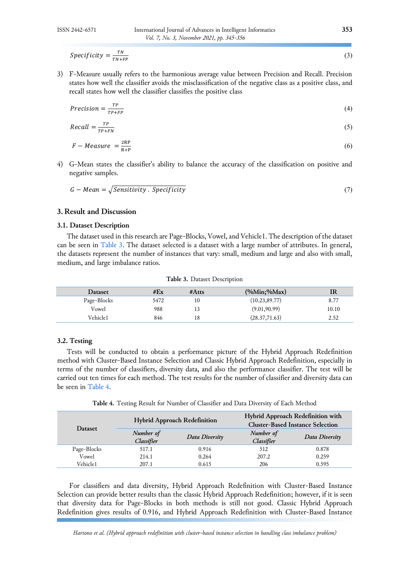Specificity  $=\frac{TN}{TN+1}$  $TN+FP$ 

3) F-Measure usually refers to the harmonious average value between Precision and Recall. Precision states how well the classifier avoids the misclassification of the negative class as a positive class, and recall states how well the classifier classifies the positive class

$$
Precision = \frac{TP}{TP + FP} \tag{4}
$$

$$
Recall = \frac{TP}{TP + FN} \tag{5}
$$

$$
F - Measure = \frac{2RP}{R+P}
$$
 (6)

4) G-Mean states the classifier's ability to balance the accuracy of the classification on positive and negative samples.

$$
G - Mean = \sqrt{Sensitivity \cdot Specificity} \tag{7}
$$

### **3. Result and Discussion**

#### **3.1. Dataset Description**

The dataset used in this research are Page-Blocks, Vowel, and Vehicle1. The description of the dataset can be seen in [Table 3.](#page-8-0) The dataset selected is a dataset with a large number of attributes. In general, the datasets represent the number of instances that vary: small, medium and large and also with small, medium, and large imbalance ratios.

<span id="page-8-0"></span>

| <b>Dataset</b> | #Ex  | # $Atts$ | $(\%Min;\%Max)$ | IR    |
|----------------|------|----------|-----------------|-------|
| Page-Blocks    | 5472 | 10       | (10.23, 89.77)  | 8.77  |
| Vowel          | 988  | l3       | (9.01, 90.99)   | 10.10 |
| Vehicle1       | 846  | 18       | (28.37,71.63)   | 2.52  |

**Table 3.** Dataset Description

# **3.2. Testing**

Tests will be conducted to obtain a performance picture of the Hybrid Approach Redefinition method with Cluster-Based Instance Selection and Classic Hybrid Approach Redefinition, especially in terms of the number of classifiers, diversity data, and also the performance classifier. The test will be carried out ten times for each method. The test results for the number of classifier and diversity data can be seen in [Table 4.](#page-8-1)

**Table 4.** Testing Result for Number of Classifier and Data Diversity of Each Method

<span id="page-8-1"></span>

| <b>Dataset</b> |                                           | <b>Hybrid Approach Redefinition</b> | Hybrid Approach Redefinition with<br><b>Cluster-Based Instance Selection</b> |                |  |
|----------------|-------------------------------------------|-------------------------------------|------------------------------------------------------------------------------|----------------|--|
|                | Number of<br>Data Diversity<br>Classifier |                                     | Number of<br>Classifier                                                      | Data Diversity |  |
| Page-Blocks    | 517.1                                     | 0.916                               | 512                                                                          | 0.878          |  |
| Vowel          | 214.1                                     | 0.264                               | 207.2                                                                        | 0.259          |  |
| Vehicle1       | 207.1                                     | 0.615                               | 206                                                                          | 0.595          |  |

For classifiers and data diversity, Hybrid Approach Redefinition with Cluster-Based Instance Selection can provide better results than the classic Hybrid Approach Redefinition; however, if it is seen that diversity data for Page-Blocks in both methods is still not good. Classic Hybrid Approach Redefinition gives results of 0.916, and Hybrid Approach Redefinition with Cluster-Based Instance

 $(3)$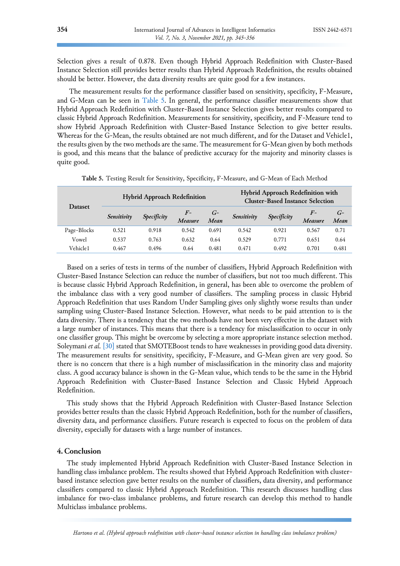Selection gives a result of 0.878. Even though Hybrid Approach Redefinition with Cluster-Based Instance Selection still provides better results than Hybrid Approach Redefinition, the results obtained should be better. However, the data diversity results are quite good for a few instances.

The measurement results for the performance classifier based on sensitivity, specificity, F-Measure, and G-Mean can be seen in [Table 5.](#page-9-0) In general, the performance classifier measurements show that Hybrid Approach Redefinition with Cluster-Based Instance Selection gives better results compared to classic Hybrid Approach Redefinition. Measurements for sensitivity, specificity, and F-Measure tend to show Hybrid Approach Redefinition with Cluster-Based Instance Selection to give better results. Whereas for the G-Mean, the results obtained are not much different, and for the Dataset and Vehicle1, the results given by the two methods are the same. The measurement for G-Mean given by both methods is good, and this means that the balance of predictive accuracy for the majority and minority classes is quite good.

<span id="page-9-0"></span>

| <b>Dataset</b> | <b>Hybrid Approach Redefinition</b> |             |                 |              | <b>Hybrid Approach Redefinition with</b><br><b>Cluster-Based Instance Selection</b> |             |                 |              |
|----------------|-------------------------------------|-------------|-----------------|--------------|-------------------------------------------------------------------------------------|-------------|-----------------|--------------|
|                | Sensitivity                         | Specificity | $F-$<br>Measure | $G-$<br>Mean | Sensitivity                                                                         | Specificity | $F-$<br>Measure | $G-$<br>Mean |
| Page-Blocks    | 0.521                               | 0.918       | 0.542           | 0.691        | 0.542                                                                               | 0.921       | 0.567           | 0.71         |
| Vowel          | 0.537                               | 0.763       | 0.632           | 0.64         | 0.529                                                                               | 0.771       | 0.651           | 0.64         |
| Vehicle1       | 0.467                               | 0.496       | 0.64            | 0.481        | 0.471                                                                               | 0.492       | 0.701           | 0.481        |

**Table 5.** Testing Result for Sensitivity, Specificity, F-Measure, and G-Mean of Each Method

Based on a series of tests in terms of the number of classifiers, Hybrid Approach Redefinition with Cluster-Based Instance Selection can reduce the number of classifiers, but not too much different. This is because classic Hybrid Approach Redefinition, in general, has been able to overcome the problem of the imbalance class with a very good number of classifiers. The sampling process in classic Hybrid Approach Redefinition that uses Random Under Sampling gives only slightly worse results than under sampling using Cluster-Based Instance Selection. However, what needs to be paid attention to is the data diversity. There is a tendency that the two methods have not been very effective in the dataset with a large number of instances. This means that there is a tendency for misclassification to occur in only one classifier group. This might be overcome by selecting a more appropriate instance selection method. Soleymani *et al.* [\[30\]](#page-11-15) stated that SMOTEBoost tends to have weaknesses in providing good data diversity. The measurement results for sensitivity, specificity, F-Measure, and G-Mean given are very good. So there is no concern that there is a high number of misclassification in the minority class and majority class. A good accuracy balance is shown in the G-Mean value, which tends to be the same in the Hybrid Approach Redefinition with Cluster-Based Instance Selection and Classic Hybrid Approach Redefinition.

This study shows that the Hybrid Approach Redefinition with Cluster-Based Instance Selection provides better results than the classic Hybrid Approach Redefinition, both for the number of classifiers, diversity data, and performance classifiers. Future research is expected to focus on the problem of data diversity, especially for datasets with a large number of instances.

#### **4. Conclusion**

The study implemented Hybrid Approach Redefinition with Cluster-Based Instance Selection in handling class imbalance problem. The results showed that Hybrid Approach Redefinition with clusterbased instance selection gave better results on the number of classifiers, data diversity, and performance classifiers compared to classic Hybrid Approach Redefinition. This research discusses handling class imbalance for two-class imbalance problems, and future research can develop this method to handle Multiclass imbalance problems.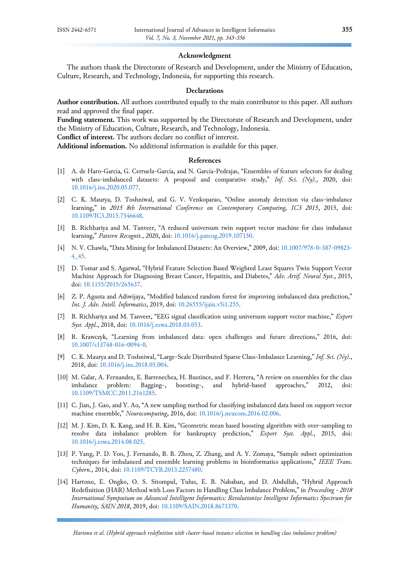#### **Acknowledgment**

The authors thank the Directorate of Research and Development, under the Ministry of Education, Culture, Research, and Technology, Indonesia, for supporting this research.

# **Declarations**

**Author contribution.** All authors contributed equally to the main contributor to this paper. All authors read and approved the final paper.

**Funding statement.** This work was supported by the Directorate of Research and Development, under the Ministry of Education, Culture, Research, and Technology, Indonesia.

**Conflict of interest.** The authors declare no conflict of interest.

**Additional information.** No additional information is available for this paper.

#### **References**

- <span id="page-10-0"></span>[1] A. de Haro-García, G. Cerruela-García, and N. García-Pedrajas, "Ensembles of feature selectors for dealing with class-imbalanced datasets: A proposal and comparative study," *Inf. Sci. (Ny).*, 2020, doi: [10.1016/j.ins.2020.05.077.](https://doi.org/10.1016/j.ins.2020.05.077)
- <span id="page-10-1"></span>[2] C. K. Maurya, D. Toshniwal, and G. V. Venkoparao, "Online anomaly detection via class-imbalance learning," in *2015 8th International Conference on Contemporary Computing, IC3 2015*, 2015, doi: [10.1109/IC3.2015.7346648.](https://doi.org/10.1109/IC3.2015.7346648)
- <span id="page-10-2"></span>[3] B. Richhariya and M. Tanveer, "A reduced universum twin support vector machine for class imbalance learning," *Pattern Recognit.*, 2020, doi: [10.1016/j.patcog.2019.107150.](https://doi.org/10.1016/j.patcog.2019.107150)
- <span id="page-10-3"></span>[4] N. V. Chawla, "Data Mining for Imbalanced Datasets: An Overview," 2009, doi: [10.1007/978-0-387-09823-](https://doi.org/10.1007/978-0-387-09823-4_45) [4\\_45.](https://doi.org/10.1007/978-0-387-09823-4_45)
- <span id="page-10-4"></span>[5] D. Tomar and S. Agarwal, "Hybrid Feature Selection Based Weighted Least Squares Twin Support Vector Machine Approach for Diagnosing Breast Cancer, Hepatitis, and Diabetes," *Adv. Artif. Neural Syst.*, 2015, doi: [10.1155/2015/265637.](https://doi.org/10.1155/2015/265637)
- <span id="page-10-5"></span>[6] Z. P. Agusta and Adiwijaya, "Modified balanced random forest for improving imbalanced data prediction," *Int. J. Adv. Intell. Informatics*, 2019, doi: [10.26555/ijain.v5i1.255.](https://doi.org/10.26555/ijain.v5i1.255)
- <span id="page-10-6"></span>[7] B. Richhariya and M. Tanveer, "EEG signal classification using universum support vector machine," *Expert Syst. Appl.*, 2018, doi: [10.1016/j.eswa.2018.03.053.](https://doi.org/10.1016/j.eswa.2018.03.053)
- <span id="page-10-7"></span>[8] B. Krawczyk, "Learning from imbalanced data: open challenges and future directions," 2016, doi: [10.1007/s13748-016-0094-0.](https://doi.org/10.1007/s13748-016-0094-0)
- <span id="page-10-8"></span>[9] C. K. Maurya and D. Toshniwal, "Large-Scale Distributed Sparse Class-Imbalance Learning," *Inf. Sci. (Ny).*, 2018, doi: [10.1016/j.ins.2018.05.004.](https://doi.org/10.1016/j.ins.2018.05.004)
- <span id="page-10-9"></span>[10] M. Galar, A. Fernandez, E. Barrenechea, H. Bustince, and F. Herrera, "A review on ensembles for the class imbalance problem: Bagging-, boosting-, and hybrid-based approaches," 2012, doi: [10.1109/TSMCC.2011.2161285.](https://doi.org/10.1109/TSMCC.2011.2161285)
- <span id="page-10-10"></span>[11] C. Jian, J. Gao, and Y. Ao, "A new sampling method for classifying imbalanced data based on support vector machine ensemble," *Neurocomputing*, 2016, doi: [10.1016/j.neucom.2016.02.006.](https://doi.org/10.1016/j.neucom.2016.02.006)
- <span id="page-10-11"></span>[12] M. J. Kim, D. K. Kang, and H. B. Kim, "Geometric mean based boosting algorithm with over-sampling to resolve data imbalance problem for bankruptcy prediction," *Expert Syst. Appl.*, 2015, doi: [10.1016/j.eswa.2014.08.025.](https://doi.org/10.1016/j.eswa.2014.08.025)
- <span id="page-10-12"></span>[13] P. Yang, P. D. Yoo, J. Fernando, B. B. Zhou, Z. Zhang, and A. Y. Zomaya, "Sample subset optimization techniques for imbalanced and ensemble learning problems in bioinformatics applications," *IEEE Trans. Cybern.*, 2014, doi: [10.1109/TCYB.2013.2257480.](https://doi.org/10.1109/TCYB.2013.2257480)
- <span id="page-10-13"></span>[14] Hartono, E. Ongko, O. S. Sitompul, Tulus, E. B. Nababan, and D. Abdullah, "Hybrid Approach Redefinition (HAR) Method with Loss Factors in Handling Class Imbalance Problem," in *Proceeding - 2018 International Symposium on Advanced Intelligent Informatics: Revolutionize Intelligent Informatics Spectrum for Humanity, SAIN 2018*, 2019, doi: [10.1109/SAIN.2018.8673370.](https://doi.org/10.1109/SAIN.2018.8673370)